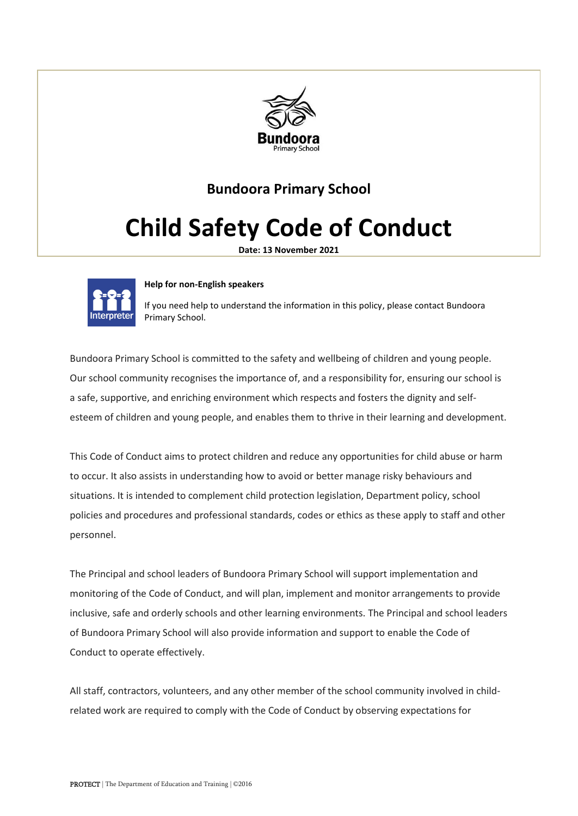

# **Bundoora Primary School**

# **Child Safety Code of Conduct**

**Date: 13 November 2021**



#### **Help for non-English speakers**

If you need help to understand the information in this policy, please contact Bundoora Primary School.

Bundoora Primary School is committed to the safety and wellbeing of children and young people. Our school community recognises the importance of, and a responsibility for, ensuring our school is a safe, supportive, and enriching environment which respects and fosters the dignity and selfesteem of children and young people, and enables them to thrive in their learning and development.

This Code of Conduct aims to protect children and reduce any opportunities for child abuse or harm to occur. It also assists in understanding how to avoid or better manage risky behaviours and situations. It is intended to complement child protection legislation, Department policy, school policies and procedures and professional standards, codes or ethics as these apply to staff and other personnel.

The Principal and school leaders of Bundoora Primary School will support implementation and monitoring of the Code of Conduct, and will plan, implement and monitor arrangements to provide inclusive, safe and orderly schools and other learning environments. The Principal and school leaders of Bundoora Primary School will also provide information and support to enable the Code of Conduct to operate effectively.

All staff, contractors, volunteers, and any other member of the school community involved in childrelated work are required to comply with the Code of Conduct by observing expectations for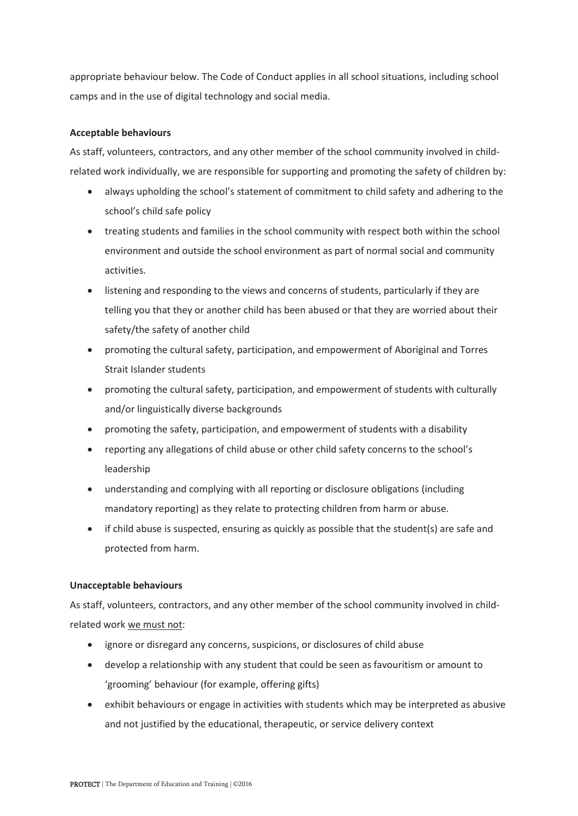appropriate behaviour below. The Code of Conduct applies in all school situations, including school camps and in the use of digital technology and social media.

#### **Acceptable behaviours**

As staff, volunteers, contractors, and any other member of the school community involved in childrelated work individually, we are responsible for supporting and promoting the safety of children by:

- always upholding the school's statement of commitment to child safety and adhering to the school's child safe policy
- treating students and families in the school community with respect both within the school environment and outside the school environment as part of normal social and community activities.
- listening and responding to the views and concerns of students, particularly if they are telling you that they or another child has been abused or that they are worried about their safety/the safety of another child
- promoting the cultural safety, participation, and empowerment of Aboriginal and Torres Strait Islander students
- promoting the cultural safety, participation, and empowerment of students with culturally and/or linguistically diverse backgrounds
- promoting the safety, participation, and empowerment of students with a disability
- reporting any allegations of child abuse or other child safety concerns to the school's leadership
- understanding and complying with all reporting or disclosure obligations (including mandatory reporting) as they relate to protecting children from harm or abuse.
- if child abuse is suspected, ensuring as quickly as possible that the student(s) are safe and protected from harm.

## **Unacceptable behaviours**

As staff, volunteers, contractors, and any other member of the school community involved in childrelated work we must not:

- ignore or disregard any concerns, suspicions, or disclosures of child abuse
- develop a relationship with any student that could be seen as favouritism or amount to 'grooming' behaviour (for example, offering gifts)
- exhibit behaviours or engage in activities with students which may be interpreted as abusive and not justified by the educational, therapeutic, or service delivery context